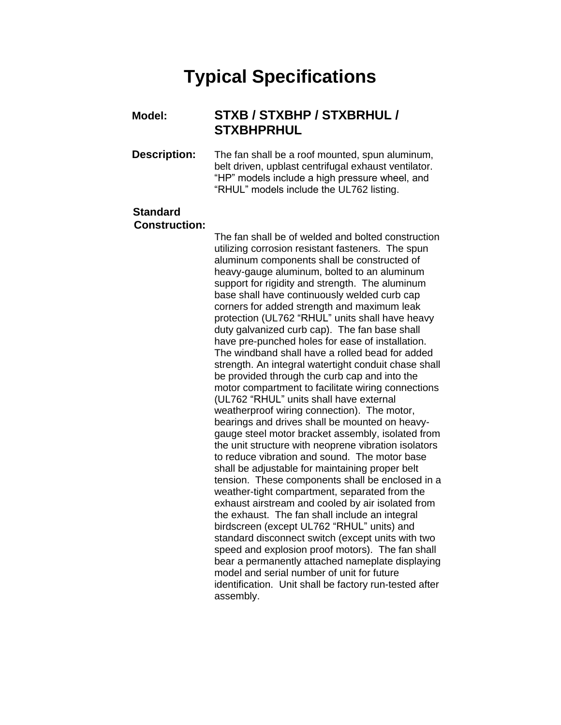# **Typical Specifications**

#### **Model: STXB / STXBHP / STXBRHUL / STXBHPRHUL**

**Description:** The fan shall be a roof mounted, spun aluminum, belt driven, upblast centrifugal exhaust ventilator. "HP" models include a high pressure wheel, and "RHUL" models include the UL762 listing.

### **Standard Construction:**

The fan shall be of welded and bolted construction utilizing corrosion resistant fasteners. The spun aluminum components shall be constructed of heavy-gauge aluminum, bolted to an aluminum support for rigidity and strength. The aluminum base shall have continuously welded curb cap corners for added strength and maximum leak protection (UL762 "RHUL" units shall have heavy duty galvanized curb cap). The fan base shall have pre-punched holes for ease of installation. The windband shall have a rolled bead for added strength. An integral watertight conduit chase shall be provided through the curb cap and into the motor compartment to facilitate wiring connections (UL762 "RHUL" units shall have external weatherproof wiring connection). The motor, bearings and drives shall be mounted on heavygauge steel motor bracket assembly, isolated from the unit structure with neoprene vibration isolators to reduce vibration and sound. The motor base shall be adjustable for maintaining proper belt tension. These components shall be enclosed in a weather-tight compartment, separated from the exhaust airstream and cooled by air isolated from the exhaust. The fan shall include an integral birdscreen (except UL762 "RHUL" units) and standard disconnect switch (except units with two speed and explosion proof motors). The fan shall bear a permanently attached nameplate displaying model and serial number of unit for future identification. Unit shall be factory run-tested after assembly.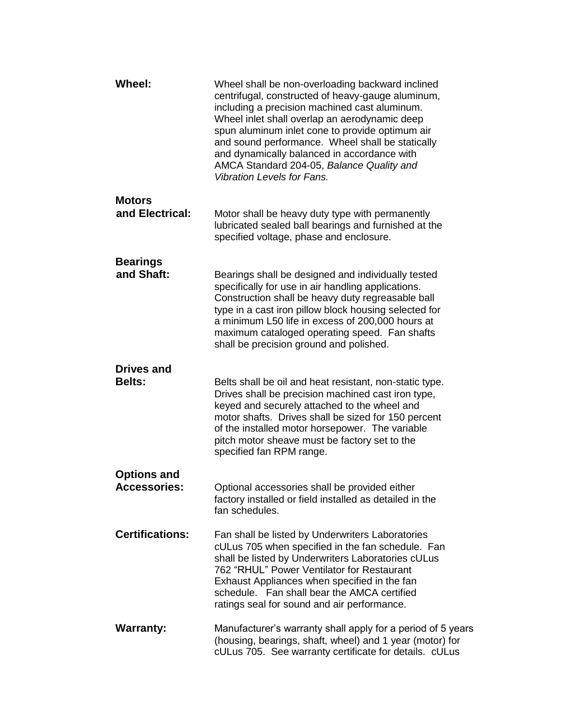| <b>Wheel:</b>                             | Wheel shall be non-overloading backward inclined<br>centrifugal, constructed of heavy-gauge aluminum,<br>including a precision machined cast aluminum.<br>Wheel inlet shall overlap an aerodynamic deep<br>spun aluminum inlet cone to provide optimum air<br>and sound performance. Wheel shall be statically<br>and dynamically balanced in accordance with<br>AMCA Standard 204-05, Balance Quality and<br><b>Vibration Levels for Fans.</b> |
|-------------------------------------------|-------------------------------------------------------------------------------------------------------------------------------------------------------------------------------------------------------------------------------------------------------------------------------------------------------------------------------------------------------------------------------------------------------------------------------------------------|
| <b>Motors</b><br>and Electrical:          | Motor shall be heavy duty type with permanently<br>lubricated sealed ball bearings and furnished at the<br>specified voltage, phase and enclosure.                                                                                                                                                                                                                                                                                              |
| <b>Bearings</b><br>and Shaft:             | Bearings shall be designed and individually tested<br>specifically for use in air handling applications.<br>Construction shall be heavy duty regreasable ball<br>type in a cast iron pillow block housing selected for<br>a minimum L50 life in excess of 200,000 hours at<br>maximum cataloged operating speed. Fan shafts<br>shall be precision ground and polished.                                                                          |
| <b>Drives and</b><br><b>Belts:</b>        | Belts shall be oil and heat resistant, non-static type.<br>Drives shall be precision machined cast iron type,<br>keyed and securely attached to the wheel and<br>motor shafts. Drives shall be sized for 150 percent<br>of the installed motor horsepower. The variable<br>pitch motor sheave must be factory set to the<br>specified fan RPM range.                                                                                            |
| <b>Options and</b><br><b>Accessories:</b> | Optional accessories shall be provided either<br>factory installed or field installed as detailed in the<br>fan schedules.                                                                                                                                                                                                                                                                                                                      |
| <b>Certifications:</b>                    | Fan shall be listed by Underwriters Laboratories<br>cULus 705 when specified in the fan schedule. Fan<br>shall be listed by Underwriters Laboratories cULus<br>762 "RHUL" Power Ventilator for Restaurant<br>Exhaust Appliances when specified in the fan<br>schedule. Fan shall bear the AMCA certified<br>ratings seal for sound and air performance.                                                                                         |
| <b>Warranty:</b>                          | Manufacturer's warranty shall apply for a period of 5 years<br>(housing, bearings, shaft, wheel) and 1 year (motor) for<br>cULus 705. See warranty certificate for details. cULus                                                                                                                                                                                                                                                               |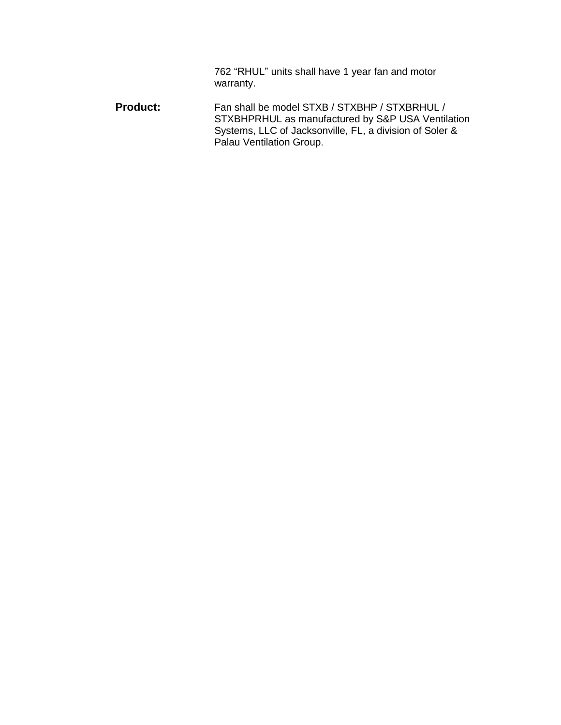762 "RHUL" units shall have 1 year fan and motor warranty.

Product: Fan shall be model STXB / STXBHP / STXBRHUL / STXBHPRHUL as manufactured by S&P USA Ventilation Systems, LLC of Jacksonville, FL, a division of Soler & Palau Ventilation Group.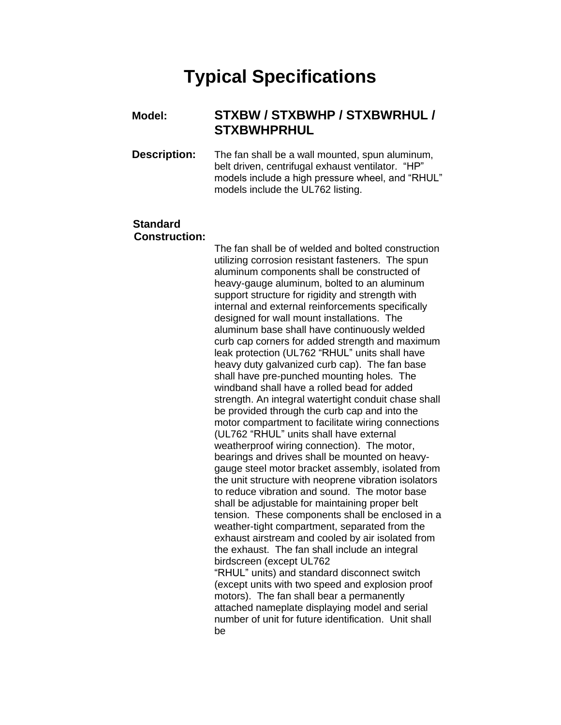## **Typical Specifications**

#### **Model: STXBW / STXBWHP / STXBWRHUL / STXBWHPRHUL**

**Description:** The fan shall be a wall mounted, spun aluminum, belt driven, centrifugal exhaust ventilator. "HP" models include a high pressure wheel, and "RHUL" models include the UL762 listing.

### **Standard Construction:**

The fan shall be of welded and bolted construction utilizing corrosion resistant fasteners. The spun aluminum components shall be constructed of heavy-gauge aluminum, bolted to an aluminum support structure for rigidity and strength with internal and external reinforcements specifically designed for wall mount installations. The aluminum base shall have continuously welded curb cap corners for added strength and maximum leak protection (UL762 "RHUL" units shall have heavy duty galvanized curb cap). The fan base shall have pre-punched mounting holes. The windband shall have a rolled bead for added strength. An integral watertight conduit chase shall be provided through the curb cap and into the motor compartment to facilitate wiring connections (UL762 "RHUL" units shall have external weatherproof wiring connection). The motor, bearings and drives shall be mounted on heavygauge steel motor bracket assembly, isolated from the unit structure with neoprene vibration isolators to reduce vibration and sound. The motor base shall be adjustable for maintaining proper belt tension. These components shall be enclosed in a weather-tight compartment, separated from the exhaust airstream and cooled by air isolated from the exhaust. The fan shall include an integral birdscreen (except UL762 "RHUL" units) and standard disconnect switch (except units with two speed and explosion proof motors). The fan shall bear a permanently attached nameplate displaying model and serial number of unit for future identification. Unit shall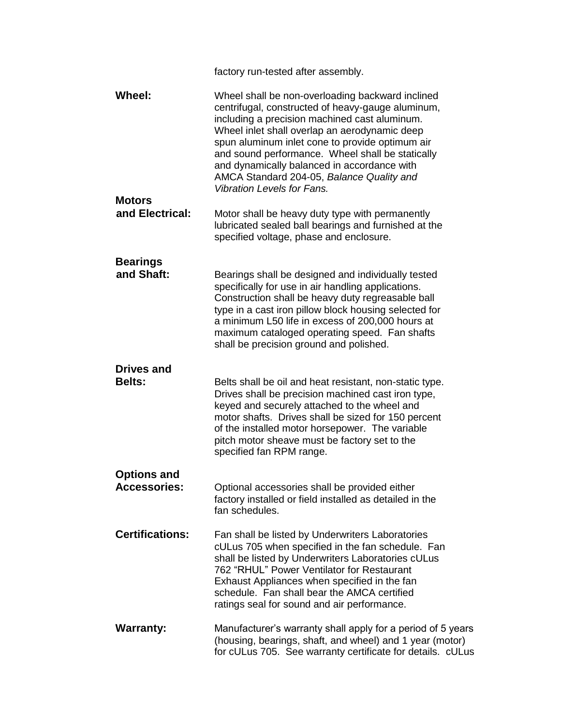|                                           | factory run-tested after assembly.                                                                                                                                                                                                                                                                                                                                                                                                              |
|-------------------------------------------|-------------------------------------------------------------------------------------------------------------------------------------------------------------------------------------------------------------------------------------------------------------------------------------------------------------------------------------------------------------------------------------------------------------------------------------------------|
| Wheel:<br><b>Motors</b>                   | Wheel shall be non-overloading backward inclined<br>centrifugal, constructed of heavy-gauge aluminum,<br>including a precision machined cast aluminum.<br>Wheel inlet shall overlap an aerodynamic deep<br>spun aluminum inlet cone to provide optimum air<br>and sound performance. Wheel shall be statically<br>and dynamically balanced in accordance with<br>AMCA Standard 204-05, Balance Quality and<br><b>Vibration Levels for Fans.</b> |
| and Electrical:                           | Motor shall be heavy duty type with permanently<br>lubricated sealed ball bearings and furnished at the<br>specified voltage, phase and enclosure.                                                                                                                                                                                                                                                                                              |
| <b>Bearings</b><br>and Shaft:             | Bearings shall be designed and individually tested<br>specifically for use in air handling applications.<br>Construction shall be heavy duty regreasable ball<br>type in a cast iron pillow block housing selected for<br>a minimum L50 life in excess of 200,000 hours at<br>maximum cataloged operating speed. Fan shafts<br>shall be precision ground and polished.                                                                          |
| <b>Drives and</b><br><b>Belts:</b>        |                                                                                                                                                                                                                                                                                                                                                                                                                                                 |
|                                           | Belts shall be oil and heat resistant, non-static type.<br>Drives shall be precision machined cast iron type,<br>keyed and securely attached to the wheel and<br>motor shafts. Drives shall be sized for 150 percent<br>of the installed motor horsepower. The variable<br>pitch motor sheave must be factory set to the<br>specified fan RPM range.                                                                                            |
| <b>Options and</b><br><b>Accessories:</b> | Optional accessories shall be provided either<br>factory installed or field installed as detailed in the<br>fan schedules.                                                                                                                                                                                                                                                                                                                      |
| <b>Certifications:</b>                    | Fan shall be listed by Underwriters Laboratories<br>cULus 705 when specified in the fan schedule. Fan<br>shall be listed by Underwriters Laboratories cULus<br>762 "RHUL" Power Ventilator for Restaurant<br>Exhaust Appliances when specified in the fan<br>schedule. Fan shall bear the AMCA certified<br>ratings seal for sound and air performance.                                                                                         |
| <b>Warranty:</b>                          | Manufacturer's warranty shall apply for a period of 5 years<br>(housing, bearings, shaft, and wheel) and 1 year (motor)<br>for cULus 705. See warranty certificate for details. cULus                                                                                                                                                                                                                                                           |